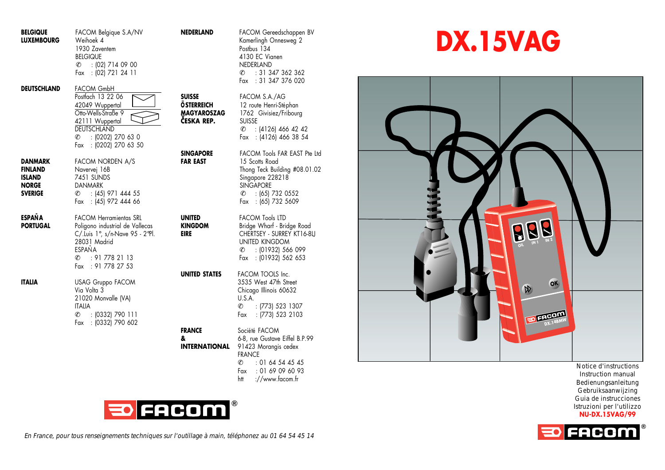| <b>BELGIQUE</b><br><b>LUXEMBOURG</b>                           | FACOM Belgique S.A/NV<br>Weihoek 4<br>1930 Zaventem<br><b>BELGIQUE</b><br>$C = 102$ ] 714 09 00<br>Fax : (02) 721 24 11                                                    | NEDERLAND                                                       |
|----------------------------------------------------------------|----------------------------------------------------------------------------------------------------------------------------------------------------------------------------|-----------------------------------------------------------------|
| DEUTSCHLAND                                                    | FACOM GmbH<br>Postfach 13 22 06<br>42049 Wuppertal<br>Otto-Wells-Straße 9<br>42111 Wuppertal<br><b>DEUTSCHLAND</b><br>$C = 10202$ 270 63 0<br>Fax : (0202) 270 63 50       | SUISSE<br><b>ÖSTERREICH</b><br><b>MAGYAROSZAG</b><br>ČESKA REP. |
| DANMARK<br>FINLAND<br>ISLAND<br><b>NORGE</b><br><b>SVERIGE</b> | FACOM NORDEN A/S<br>Navervej 16B<br>7451 SUNDS<br><b>DANMARK</b><br>$C = 145$ 971 444 55<br>Fax : (45) 972 444 66                                                          | <b>SINGAPORE</b><br><b>FAR EAST</b>                             |
| <b>ESPAÑA</b><br><b>PORTUGAL</b>                               | <b>FACOM Herramientas SRL</b><br>Poligono industrial de Vallecas<br>C/.Luis 1°, s/n-Nave 95 - 2°Pl.<br>28031 Madrid<br><b>FSPAÑA</b><br>6: 917782113<br>Fax : 91 778 27 53 | UNITED<br><b>KINGDOM</b><br>EIRE<br>UNITED STATES               |
| ITALIA                                                         | <b>USAG Gruppo FACOM</b><br>Via Volta 3<br>21020 Monvalle (VA)<br><b>ITALIA</b><br>$C = \{0332\}$ 790 111<br>Fax : (0332) 790 602                                          | <b>FRANCE</b><br>8<br><b>INTERNATIONAL</b>                      |
|                                                                |                                                                                                                                                                            |                                                                 |

| NEDERLAND | FACOM Gereedschappen BV<br>Kamerlingh Onnesweg 2 |
|-----------|--------------------------------------------------|
|           | Postbus 134                                      |
|           | 4130 EC Vignen                                   |
|           | NEDERLAND                                        |
|           | $\ell = 31347362362$                             |
|           | Fax : 31 347 376 020                             |

**SUISSE** FACOM S.A./AG 12 route Henri-Stéphan 1762 Givisiez/Fribourg **SUISSE**  $C$  : (4126) 466 42 42 Fax : (4126) 466 38 54

FACOM Tools FAR EAST Pte Ltd 15 Scotts Road Thong Teck Building #08.01.02 Singapore 228218 **SINGAPORE**  $C : (65)$  732 0552 Fax : (65) 732 5609

**FACOM Tools LTD Bridge Wharf - Bridge Road CHERTSEY - SURREY KT16-8LJ** UNITED KINGDOM ✆ : (01932) 566 099 Fax : (01932) 562 653

**FACOM TOOLS Inc.** 3535 West 47th Street Chicago Illinois 60632 U.S.A.  $C =$ : (773) 523 1307 Fax : (773) 523 2103

Société FACOM **&** 6-8, rue Gustave Eiffel B.P.99 **L** 91423 Morangis cedex FRANCE  $C = 0164544545$ Fax : 01 69 09 60 93 htt ://www.facom.fr



En France, pour tous renseignements techniques sur l'outillage à main, téléphonez au 01 64 54 45 14

## **DX.15VAG**



Notice d'instructions Instruction manual Bedienungsanleitung Gebruiksaanwijzing Guia de instrucciones Istruzioni per l'utilizzo **NU-DX.15VAG/99**